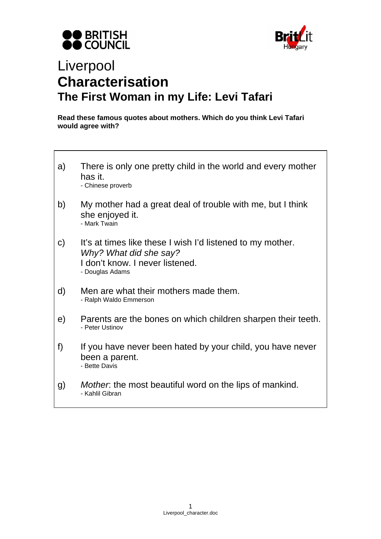



## Liverpool **Characterisation The First Woman in my Life: Levi Tafari**

**Read these famous quotes about mothers. Which do you think Levi Tafari would agree with?** 

- a) There is only one pretty child in the world and every mother has it. - Chinese proverb
- b) My mother had a great deal of trouble with me, but I think she enjoyed it. - Mark Twain
- c) It's at times like these I wish I'd listened to my mother. *Why? What did she say?*  I don't know. I never listened. - Douglas Adams
- d) Men are what their mothers made them. - Ralph Waldo Emmerson
- e) Parents are the bones on which children sharpen their teeth. - Peter Ustinov
- f) If you have never been hated by your child, you have never been a parent. - Bette Davis
- g) *Mother*: the most beautiful word on the lips of mankind. - Kahlil Gibran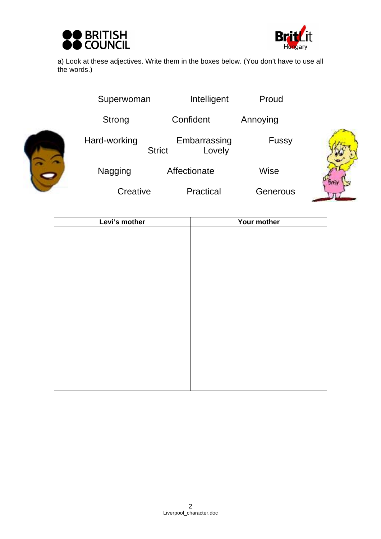



a) Look at these adjectives. Write them in the boxes below. (You don't have to use all the words.)

|  | Superwoman   | Intelligent                             | Proud    |  |
|--|--------------|-----------------------------------------|----------|--|
|  | Strong       | Confident                               | Annoying |  |
|  | Hard-working | Embarrassing<br>Lovely<br><b>Strict</b> | Fussy    |  |
|  | Nagging      | Affectionate                            | Wise     |  |
|  | Creative     | Practical                               | Generous |  |

| Levi's mother | Your mother |
|---------------|-------------|
|               |             |
|               |             |
|               |             |
|               |             |
|               |             |
|               |             |
|               |             |
|               |             |
|               |             |
|               |             |
|               |             |
|               |             |
|               |             |
|               |             |
|               |             |
|               |             |
|               |             |
|               |             |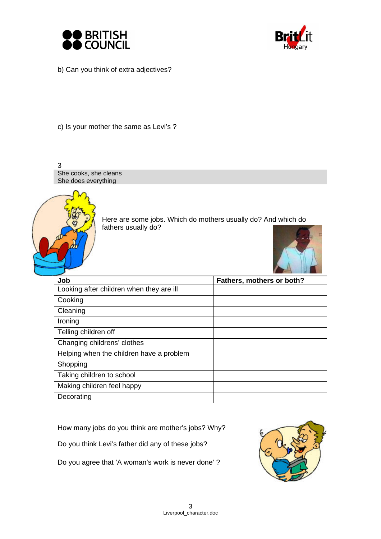



b) Can you think of extra adjectives?

c) Is your mother the same as Levi's ?



How many jobs do you think are mother's jobs? Why?

Do you think Levi's father did any of these jobs?

Do you agree that 'A woman's work is never done' ?

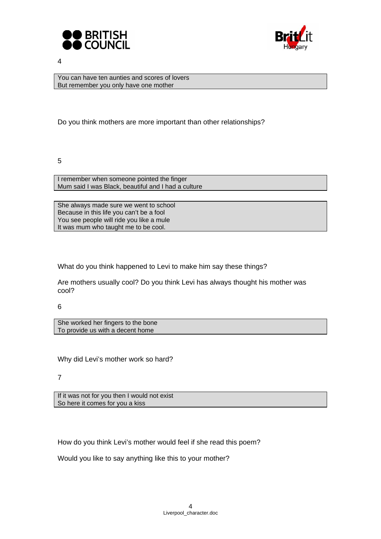



4

You can have ten aunties and scores of lovers But remember you only have one mother

Do you think mothers are more important than other relationships?

5

I remember when someone pointed the finger Mum said I was Black, beautiful and I had a culture

She always made sure we went to school Because in this life you can't be a fool You see people will ride you like a mule It was mum who taught me to be cool.

What do you think happened to Levi to make him say these things?

Are mothers usually cool? Do you think Levi has always thought his mother was cool?

6

She worked her fingers to the bone To provide us with a decent home

Why did Levi's mother work so hard?

7

If it was not for you then I would not exist So here it comes for you a kiss

How do you think Levi's mother would feel if she read this poem?

Would you like to say anything like this to your mother?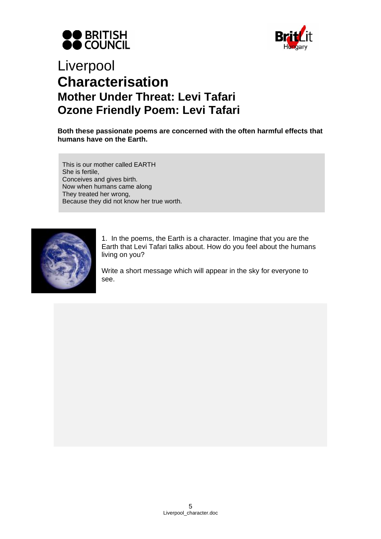



## Liverpool **Characterisation Mother Under Threat: Levi Tafari Ozone Friendly Poem: Levi Tafari**

**Both these passionate poems are concerned with the often harmful effects that humans have on the Earth.** 

This is our mother called EARTH She is fertile, Conceives and gives birth. Now when humans came along They treated her wrong, Because they did not know her true worth.



1. In the poems, the Earth is a character. Imagine that you are the Earth that Levi Tafari talks about. How do you feel about the humans living on you?

Write a short message which will appear in the sky for everyone to see.